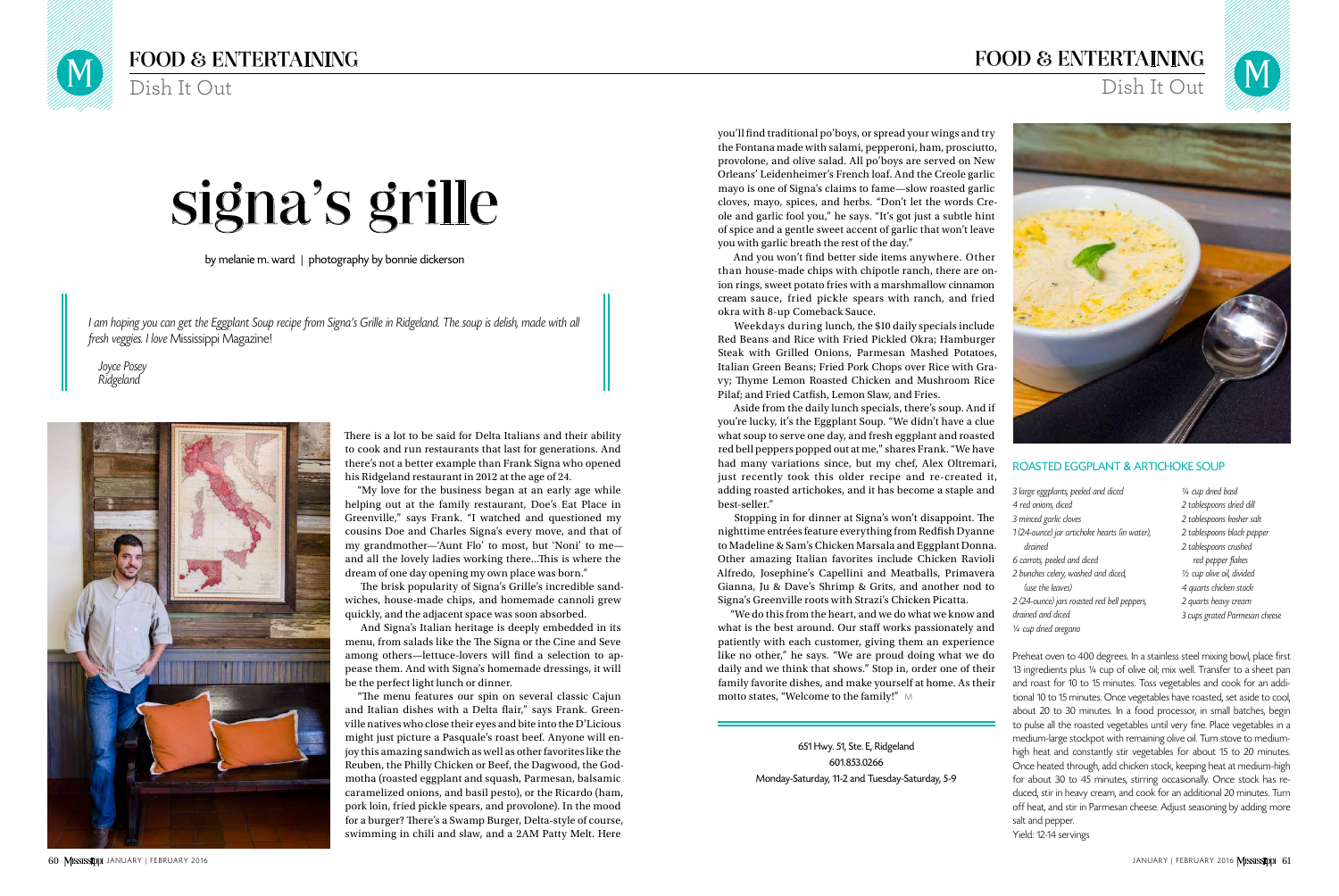There is a lot to be said for Delta Italians and their ability to cook and run restaurants that last for generations. And there's not a better example than Frank Signa who opened his Ridgeland restaurant in 2012 at the age of 24.

"My love for the business began at an early age while helping out at the family restaurant, Doe's Eat Place in Greenville," says Frank. "I watched and questioned my cousins Doe and Charles Signa's every move, and that of my grandmother—'Aunt Flo' to most, but 'Noni' to me and all the lovely ladies working there...This is where the dream of one day opening my own place was born."

The brisk popularity of Signa's Grille's incredible sandwiches, house-made chips, and homemade cannoli grew quickly, and the adjacent space was soon absorbed.

And Signa's Italian heritage is deeply embedded in its menu, from salads like the The Signa or the Cine and Seve among others—lettuce-lovers will find a selection to appease them. And with Signa's homemade dressings, it will be the perfect light lunch or dinner.

"The menu features our spin on several classic Cajun and Italian dishes with a Delta flair," says Frank. Greenville natives who close their eyes and bite into the D'Licious might just picture a Pasquale's roast beef. Anyone will enjoy this amazing sandwich as well as other favorites like the Reuben, the Philly Chicken or Beef, the Dagwood, the Godmotha (roasted eggplant and squash, Parmesan, balsamic caramelized onions, and basil pesto), or the Ricardo (ham, pork loin, fried pickle spears, and provolone). In the mood for a burger? There's a Swamp Burger, Delta-style of course, swimming in chili and slaw, and a 2AM Patty Melt. Here

by melanie m. ward | photography by bonnie dickerson

I am hoping you can get the Eggplant Soup recipe from Signa's Grille in Ridgeland. The soup is delish, made with all fresh veggies. I love Mississippi Magazine!

> "We do this from the heart, and we do what we know and what is the best around. Our staff works passionately and patiently with each customer, giving them an experience like no other," he says. "We are proud doing what we do daily and we think that shows." Stop in, order one of their family favorite dishes, and make yourself at home. As their motto states, "Welcome to the family!" M

Joyce Posey Ridgeland



# signa's grille

you'll find traditional po'boys, or spread your wings and try the Fontana made with salami, pepperoni, ham, prosciutto, provolone, and olive salad. All po'boys are served on New Orleans' Leidenheimer's French loaf. And the Creole garlic mayo is one of Signa's claims to fame—slow roasted garlic cloves, mayo, spices, and herbs. "Don't let the words Creole and garlic fool you," he says. "It's got just a subtle hint of spice and a gentle sweet accent of garlic that won't leave you with garlic breath the rest of the day."

And you won't find better side items anywhere. Other than house-made chips with chipotle ranch, there are onion rings, sweet potato fries with a marshmallow cinnamon cream sauce, fried pickle spears with ranch, and fried okra with 8-up Comeback Sauce.

Weekdays during lunch, the \$10 daily specials include Red Beans and Rice with Fried Pickled Okra; Hamburger Steak with Grilled Onions, Parmesan Mashed Potatoes, Italian Green Beans; Fried Pork Chops over Rice with Gravy; Thyme Lemon Roasted Chicken and Mushroom Rice Pilaf; and Fried Catfish, Lemon Slaw, and Fries.

Aside from the daily lunch specials, there's soup. And if you're lucky, it's the Eggplant Soup. "We didn't have a clue what soup to serve one day, and fresh eggplant and roasted red bell peppers popped out at me," shares Frank. "We have had many variations since, but my chef, Alex Oltremari, just recently took this older recipe and re-created it, adding roasted artichokes, and it has become a staple and best-seller."

Stopping in for dinner at Signa's won't disappoint. The nighttime entrées feature everything from Redfish Dyanne to Madeline & Sam's Chicken Marsala and Eggplant Donna. Other amazing Italian favorites include Chicken Ravioli Alfredo, Josephine's Capellini and Meatballs, Primavera Gianna, Ju & Dave's Shrimp & Grits, and another nod to Signa's Greenville roots with Strazi's Chicken Picatta.

> 651 Hwy. 51, Ste. E, Ridgeland 601.853.0266 Monday-Saturday, 11-2 and Tuesday-Saturday, 5-9

### ROASTED EGGPLANT & ARTICHOKE SOUP

- 3 large eggplants, peeled and diced
- 4 red onions, diced
- 3 minced garlic cloves
- 1 (24-ounce) jar artichoke hearts (in water),
- drained
- 6 carrots, peeled and diced
- 2 bunches celery, washed and diced,
- (use the leaves)
- 2 (24-ounce) jars roasted red bell peppers,
- drained and diced
- ¼ cup dried oregano

Preheat oven to 400 degrees. In a stainless steel mixing bowl, place first 13 ingredients plus ¼ cup of olive oil; mix well. Transfer to a sheet pan and roast for 10 to 15 minutes. Toss vegetables and cook for an additional 10 to 15 minutes. Once vegetables have roasted, set aside to cool, about 20 to 30 minutes. In a food processor, in small batches, begin to pulse all the roasted vegetables until very fine. Place vegetables in a medium-large stockpot with remaining olive oil. Turn stove to mediumhigh heat and constantly stir vegetables for about 15 to 20 minutes. Once heated through, add chicken stock, keeping heat at medium-high for about 30 to 45 minutes, stirring occasionally. Once stock has reduced, stir in heavy cream, and cook for an additional 20 minutes. Turn off heat, and stir in Parmesan cheese. Adjust seasoning by adding more salt and pepper.

Yield: 12-14 servings

## FOOD & ENTERTAINING

Dish It Out

- ¼ cup dried basil
- 2 tablespoons dried dill
- 2 tablespoons kosher salt
- 2 tablespoons black pepper
- 2 tablespoons crushed
- red pepper flakes
- ½ cup olive oil, divided
- 4 quarts chicken stock
- 2 quarts heavy cream
- 3 cups grated Parmesan cheese

## FOOD & ENTERTAINING Dish It Out

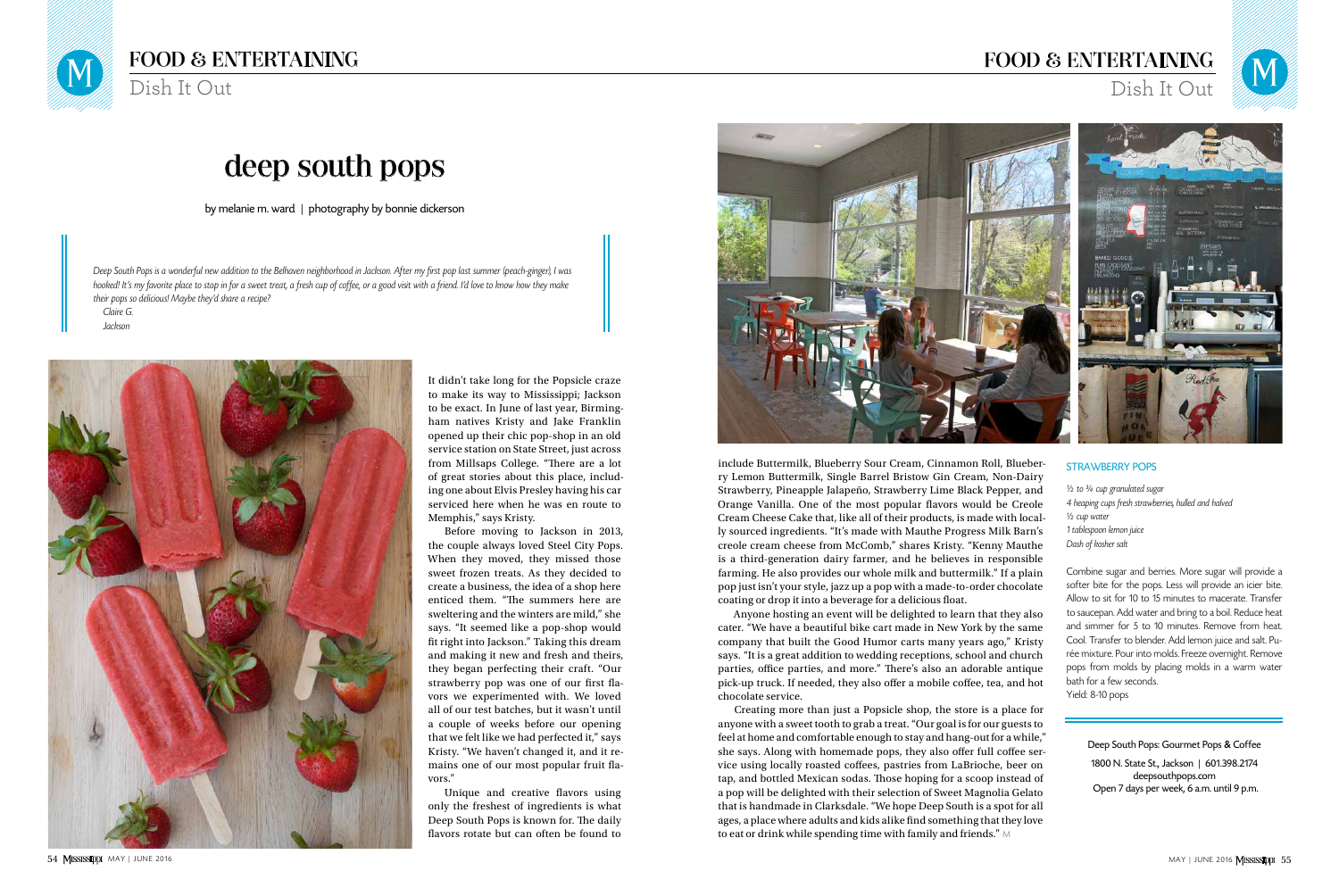It didn't take long for the Popsicle craze to make its way to Mississippi; Jackson to be exact. In June of last year, Birmingham natives Kristy and Jake Franklin opened up their chic pop-shop in an old service station on State Street, just across from Millsaps College. "There are a lot of great stories about this place, including one about Elvis Presley having his car serviced here when he was en route to Memphis," says Kristy.

Before moving to Jackson in 2013, the couple always loved Steel City Pops. When they moved, they missed those sweet frozen treats. As they decided to create a business, the idea of a shop here enticed them. "The summers here are sweltering and the winters are mild," she says. "It seemed like a pop-shop would fit right into Jackson." Taking this dream and making it new and fresh and theirs, they began perfecting their craft. "Our strawberry pop was one of our first flavors we experimented with. We loved all of our test batches, but it wasn't until a couple of weeks before our opening that we felt like we had perfected it," says Kristy. "We haven't changed it, and it remains one of our most popular fruit flavors."

Unique and creative flavors using only the freshest of ingredients is what Deep South Pops is known for. The daily flavors rotate but can often be found to



by melanie m. ward | photography by bonnie dickerson

Deep South Pops is a wonderful new addition to the Belhaven neighborhood in Jackson. After my first pop last summer (peach-ginger), I was hooked! It's my favorite place to stop in for a sweet treat, a fresh cup of coffee, or a good visit with a friend. I'd love to know how they make their pops so delicious! Maybe they'd share a recipe? Claire G.

Jackson



## deep south pops

Creating more than just a Popsicle shop, the store is a place for anyone with a sweet tooth to grab a treat. "Our goal is for our guests to feel at home and comfortable enough to stay and hang-out for a while," she says. Along with homemade pops, they also offer full coffee service using locally roasted coffees, pastries from LaBrioche, beer on tap, and bottled Mexican sodas. Those hoping for a scoop instead of a pop will be delighted with their selection of Sweet Magnolia Gelato that is handmade in Clarksdale. "We hope Deep South is a spot for all ages, a place where adults and kids alike find something that they love to eat or drink while spending time with family and friends."  $\scriptstyle\rm\land$ 



## FOOD & ENTERTAINING

Dish It Out

Deep South Pops: Gourmet Pops & Coffee 1800 N. State St., Jackson | 601.398.2174 deepsouthpops.com

Open 7 days per week, 6 a.m. until 9 p.m.

STRAWBERRY POPS  $1/2$  to  $3/4$  cup granulated sugar 4 heaping cups fresh strawberries, hulled and halved ½ cup water 1 tablespoon lemon juice Dash of kosher salt Combine sugar and berries. More sugar will provide a softer bite for the pops. Less will provide an icier bite. Allow to sit for 10 to 15 minutes to macerate. Transfer to saucepan. Add water and bring to a boil. Reduce heat and simmer for 5 to 10 minutes. Remove from heat. Cool. Transfer to blender. Add lemon juice and salt. Purée mixture. Pour into molds. Freeze overnight. Remove pops from molds by placing molds in a warm water bath for a few seconds. Yield: 8-10 pops include Buttermilk, Blueberry Sour Cream, Cinnamon Roll, Blueberry Lemon Buttermilk, Single Barrel Bristow Gin Cream, Non-Dairy Strawberry, Pineapple Jalapeño, Strawberry Lime Black Pepper, and Orange Vanilla. One of the most popular flavors would be Creole Cream Cheese Cake that, like all of their products, is made with locally sourced ingredients. "It's made with Mauthe Progress Milk Barn's creole cream cheese from McComb," shares Kristy. "Kenny Mauthe is a third-generation dairy farmer, and he believes in responsible farming. He also provides our whole milk and buttermilk." If a plain pop just isn't your style, jazz up a pop with a made-to-order chocolate coating or drop it into a beverage for a delicious float. Anyone hosting an event will be delighted to learn that they also cater. "We have a beautiful bike cart made in New York by the same company that built the Good Humor carts many years ago," Kristy says. "It is a great addition to wedding receptions, school and church parties, office parties, and more." There's also an adorable antique pick-up truck. If needed, they also offer a mobile coffee, tea, and hot

chocolate service.

## FOOD & ENTERTAINING Dish It Out